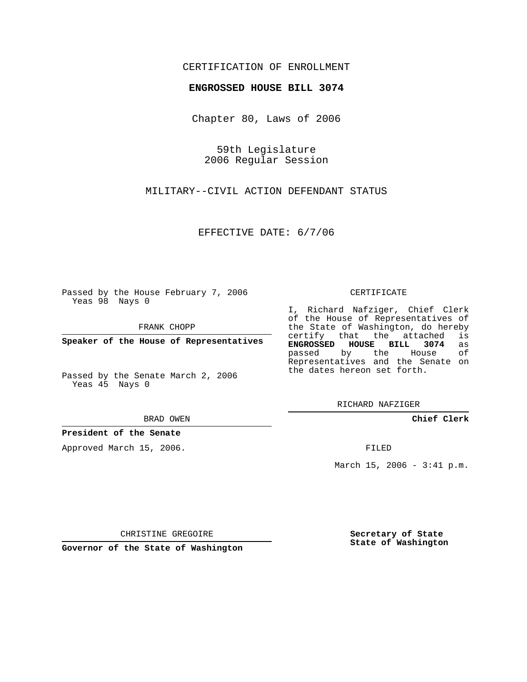## CERTIFICATION OF ENROLLMENT

## **ENGROSSED HOUSE BILL 3074**

Chapter 80, Laws of 2006

59th Legislature 2006 Regular Session

MILITARY--CIVIL ACTION DEFENDANT STATUS

EFFECTIVE DATE: 6/7/06

Passed by the House February 7, 2006 Yeas 98 Nays 0

FRANK CHOPP

**Speaker of the House of Representatives**

Passed by the Senate March 2, 2006 Yeas 45 Nays 0

BRAD OWEN

## **President of the Senate**

Approved March 15, 2006.

CERTIFICATE

I, Richard Nafziger, Chief Clerk of the House of Representatives of the State of Washington, do hereby<br>certify that the attached is certify that the attached **ENGROSSED HOUSE BILL 3074** as passed by the House Representatives and the Senate on the dates hereon set forth.

RICHARD NAFZIGER

**Chief Clerk**

FILED

March 15, 2006 - 3:41 p.m.

CHRISTINE GREGOIRE

**Governor of the State of Washington**

**Secretary of State State of Washington**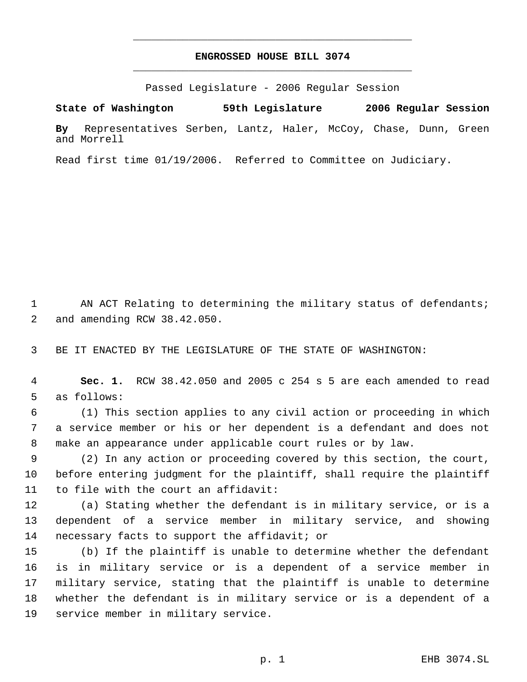## **ENGROSSED HOUSE BILL 3074** \_\_\_\_\_\_\_\_\_\_\_\_\_\_\_\_\_\_\_\_\_\_\_\_\_\_\_\_\_\_\_\_\_\_\_\_\_\_\_\_\_\_\_\_\_

\_\_\_\_\_\_\_\_\_\_\_\_\_\_\_\_\_\_\_\_\_\_\_\_\_\_\_\_\_\_\_\_\_\_\_\_\_\_\_\_\_\_\_\_\_

Passed Legislature - 2006 Regular Session

**State of Washington 59th Legislature 2006 Regular Session By** Representatives Serben, Lantz, Haler, McCoy, Chase, Dunn, Green and Morrell

Read first time 01/19/2006. Referred to Committee on Judiciary.

1 AN ACT Relating to determining the military status of defendants; and amending RCW 38.42.050.

BE IT ENACTED BY THE LEGISLATURE OF THE STATE OF WASHINGTON:

 **Sec. 1.** RCW 38.42.050 and 2005 c 254 s 5 are each amended to read as follows:

 (1) This section applies to any civil action or proceeding in which a service member or his or her dependent is a defendant and does not make an appearance under applicable court rules or by law.

 (2) In any action or proceeding covered by this section, the court, before entering judgment for the plaintiff, shall require the plaintiff to file with the court an affidavit:

 (a) Stating whether the defendant is in military service, or is a dependent of a service member in military service, and showing necessary facts to support the affidavit; or

 (b) If the plaintiff is unable to determine whether the defendant is in military service or is a dependent of a service member in military service, stating that the plaintiff is unable to determine whether the defendant is in military service or is a dependent of a service member in military service.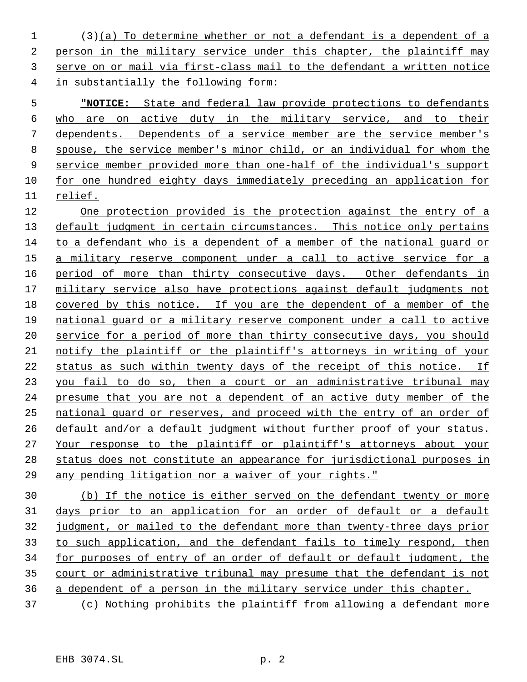(3)(a) To determine whether or not a defendant is a dependent of a person in the military service under this chapter, the plaintiff may serve on or mail via first-class mail to the defendant a written notice in substantially the following form:

 **"NOTICE:** State and federal law provide protections to defendants who are on active duty in the military service, and to their dependents. Dependents of a service member are the service member's spouse, the service member's minor child, or an individual for whom the service member provided more than one-half of the individual's support for one hundred eighty days immediately preceding an application for relief.

 One protection provided is the protection against the entry of a 13 default judgment in certain circumstances. This notice only pertains to a defendant who is a dependent of a member of the national guard or a military reserve component under a call to active service for a 16 period of more than thirty consecutive days. Other defendants in military service also have protections against default judgments not 18 covered by this notice. If you are the dependent of a member of the national guard or a military reserve component under a call to active service for a period of more than thirty consecutive days, you should notify the plaintiff or the plaintiff's attorneys in writing of your status as such within twenty days of the receipt of this notice. If you fail to do so, then a court or an administrative tribunal may presume that you are not a dependent of an active duty member of the national guard or reserves, and proceed with the entry of an order of default and/or a default judgment without further proof of your status. Your response to the plaintiff or plaintiff's attorneys about your status does not constitute an appearance for jurisdictional purposes in 29 any pending litigation nor a waiver of your rights."

 (b) If the notice is either served on the defendant twenty or more days prior to an application for an order of default or a default judgment, or mailed to the defendant more than twenty-three days prior to such application, and the defendant fails to timely respond, then for purposes of entry of an order of default or default judgment, the court or administrative tribunal may presume that the defendant is not a dependent of a person in the military service under this chapter. (c) Nothing prohibits the plaintiff from allowing a defendant more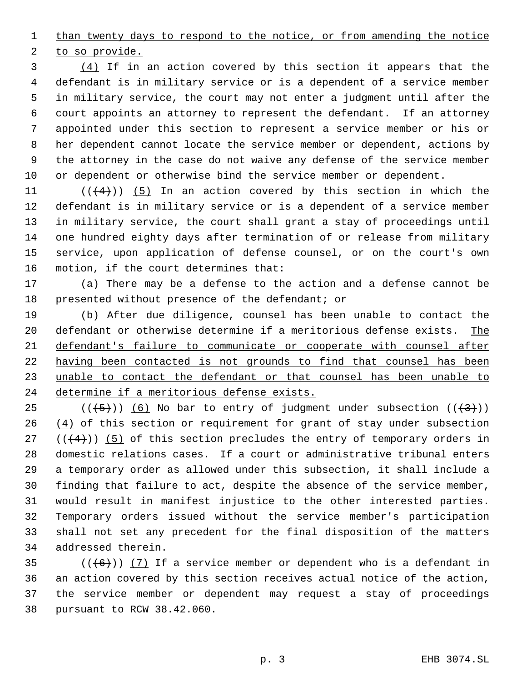1 than twenty days to respond to the notice, or from amending the notice

to so provide.

 (4) If in an action covered by this section it appears that the defendant is in military service or is a dependent of a service member in military service, the court may not enter a judgment until after the court appoints an attorney to represent the defendant. If an attorney appointed under this section to represent a service member or his or her dependent cannot locate the service member or dependent, actions by the attorney in the case do not waive any defense of the service member or dependent or otherwise bind the service member or dependent.

 $((4+))$   $(5)$  In an action covered by this section in which the defendant is in military service or is a dependent of a service member in military service, the court shall grant a stay of proceedings until one hundred eighty days after termination of or release from military service, upon application of defense counsel, or on the court's own motion, if the court determines that:

 (a) There may be a defense to the action and a defense cannot be presented without presence of the defendant; or

 (b) After due diligence, counsel has been unable to contact the defendant or otherwise determine if a meritorious defense exists. The defendant's failure to communicate or cooperate with counsel after having been contacted is not grounds to find that counsel has been unable to contact the defendant or that counsel has been unable to determine if a meritorious defense exists.

25 ( $(\frac{+5}{})$ ) (6) No bar to entry of judgment under subsection ( $(\frac{+3}{})$ )  $(4)$  of this section or requirement for grant of stay under subsection  $((+4))$  (5) of this section precludes the entry of temporary orders in domestic relations cases. If a court or administrative tribunal enters a temporary order as allowed under this subsection, it shall include a finding that failure to act, despite the absence of the service member, would result in manifest injustice to the other interested parties. Temporary orders issued without the service member's participation shall not set any precedent for the final disposition of the matters addressed therein.

 $((+6))$   $(7)$  If a service member or dependent who is a defendant in an action covered by this section receives actual notice of the action, the service member or dependent may request a stay of proceedings pursuant to RCW 38.42.060.